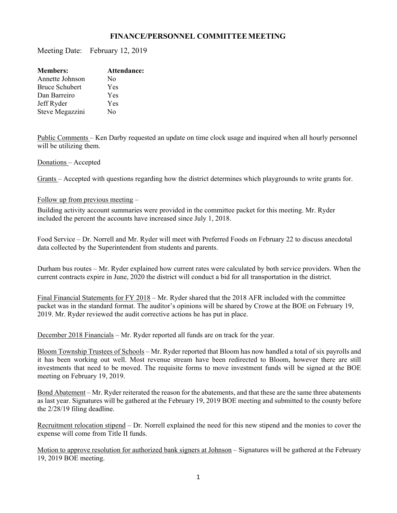## **FINANCE/PERSONNEL COMMITTEE MEETING**

Meeting Date: February 12, 2019

| <b>Members:</b>       | Attendance: |
|-----------------------|-------------|
| Annette Johnson       | No          |
| <b>Bruce Schubert</b> | Yes         |
| Dan Barreiro          | Yes         |
| Jeff Ryder            | Yes         |
| Steve Megazzini       | No          |
|                       |             |

Public Comments – Ken Darby requested an update on time clock usage and inquired when all hourly personnel will be utilizing them.

Donations – Accepted

Grants – Accepted with questions regarding how the district determines which playgrounds to write grants for.

## Follow up from previous meeting –

Building activity account summaries were provided in the committee packet for this meeting. Mr. Ryder included the percent the accounts have increased since July 1, 2018.

Food Service – Dr. Norrell and Mr. Ryder will meet with Preferred Foods on February 22 to discuss anecdotal data collected by the Superintendent from students and parents.

Durham bus routes – Mr. Ryder explained how current rates were calculated by both service providers. When the current contracts expire in June, 2020 the district will conduct a bid for all transportation in the district.

Final Financial Statements for FY 2018 – Mr. Ryder shared that the 2018 AFR included with the committee packet was in the standard format. The auditor's opinions will be shared by Crowe at the BOE on February 19, 2019. Mr. Ryder reviewed the audit corrective actions he has put in place.

December 2018 Financials – Mr. Ryder reported all funds are on track for the year.

Bloom Township Trustees of Schools – Mr. Ryder reported that Bloom has now handled a total of six payrolls and it has been working out well. Most revenue stream have been redirected to Bloom, however there are still investments that need to be moved. The requisite forms to move investment funds will be signed at the BOE meeting on February 19, 2019.

Bond Abatement – Mr. Ryder reiterated the reason for the abatements, and that these are the same three abatements as last year. Signatures will be gathered at the February 19, 2019 BOE meeting and submitted to the county before the 2/28/19 filing deadline.

Recruitment relocation stipend – Dr. Norrell explained the need for this new stipend and the monies to cover the expense will come from Title II funds.

Motion to approve resolution for authorized bank signers at Johnson – Signatures will be gathered at the February 19, 2019 BOE meeting.